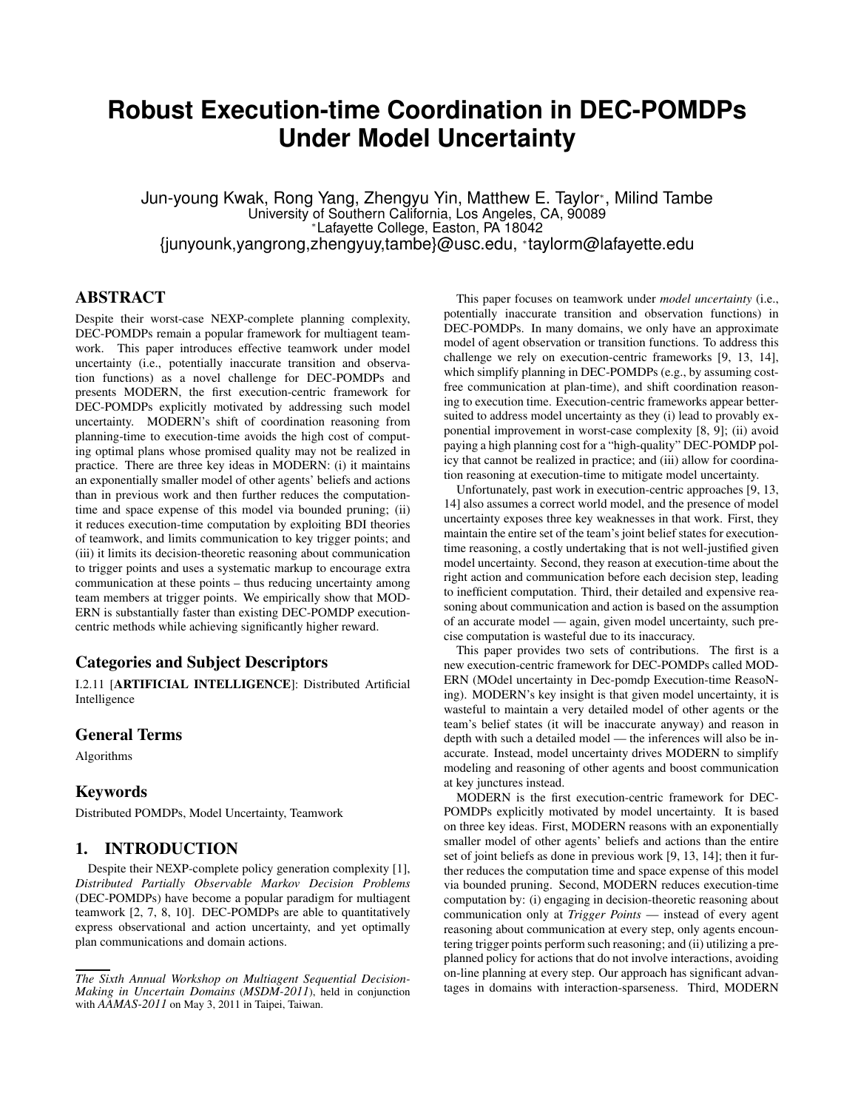# **Robust Execution-time Coordination in DEC-POMDPs Under Model Uncertainty**

Jun-young Kwak, Rong Yang, Zhengyu Yin, Matthew E. Taylor<sup>∗</sup> , Milind Tambe University of Southern California, Los Angeles, CA, 90089 <sup>∗</sup>Lafayette College, Easton, PA 18042 {junyounk,yangrong,zhengyuy,tambe}@usc.edu, <sup>∗</sup> taylorm@lafayette.edu

## ABSTRACT

Despite their worst-case NEXP-complete planning complexity, DEC-POMDPs remain a popular framework for multiagent teamwork. This paper introduces effective teamwork under model uncertainty (i.e., potentially inaccurate transition and observation functions) as a novel challenge for DEC-POMDPs and presents MODERN, the first execution-centric framework for DEC-POMDPs explicitly motivated by addressing such model uncertainty. MODERN's shift of coordination reasoning from planning-time to execution-time avoids the high cost of computing optimal plans whose promised quality may not be realized in practice. There are three key ideas in MODERN: (i) it maintains an exponentially smaller model of other agents' beliefs and actions than in previous work and then further reduces the computationtime and space expense of this model via bounded pruning; (ii) it reduces execution-time computation by exploiting BDI theories of teamwork, and limits communication to key trigger points; and (iii) it limits its decision-theoretic reasoning about communication to trigger points and uses a systematic markup to encourage extra communication at these points – thus reducing uncertainty among team members at trigger points. We empirically show that MOD-ERN is substantially faster than existing DEC-POMDP executioncentric methods while achieving significantly higher reward.

# Categories and Subject Descriptors

I.2.11 [ARTIFICIAL INTELLIGENCE]: Distributed Artificial Intelligence

## General Terms

Algorithms

## Keywords

Distributed POMDPs, Model Uncertainty, Teamwork

## 1. INTRODUCTION

Despite their NEXP-complete policy generation complexity [1], *Distributed Partially Observable Markov Decision Problems* (DEC-POMDPs) have become a popular paradigm for multiagent teamwork [2, 7, 8, 10]. DEC-POMDPs are able to quantitatively express observational and action uncertainty, and yet optimally plan communications and domain actions.

This paper focuses on teamwork under *model uncertainty* (i.e., potentially inaccurate transition and observation functions) in DEC-POMDPs. In many domains, we only have an approximate model of agent observation or transition functions. To address this challenge we rely on execution-centric frameworks [9, 13, 14], which simplify planning in DEC-POMDPs (e.g., by assuming costfree communication at plan-time), and shift coordination reasoning to execution time. Execution-centric frameworks appear bettersuited to address model uncertainty as they (i) lead to provably exponential improvement in worst-case complexity [8, 9]; (ii) avoid paying a high planning cost for a "high-quality" DEC-POMDP policy that cannot be realized in practice; and (iii) allow for coordination reasoning at execution-time to mitigate model uncertainty.

Unfortunately, past work in execution-centric approaches [9, 13, 14] also assumes a correct world model, and the presence of model uncertainty exposes three key weaknesses in that work. First, they maintain the entire set of the team's joint belief states for executiontime reasoning, a costly undertaking that is not well-justified given model uncertainty. Second, they reason at execution-time about the right action and communication before each decision step, leading to inefficient computation. Third, their detailed and expensive reasoning about communication and action is based on the assumption of an accurate model — again, given model uncertainty, such precise computation is wasteful due to its inaccuracy.

This paper provides two sets of contributions. The first is a new execution-centric framework for DEC-POMDPs called MOD-ERN (MOdel uncertainty in Dec-pomdp Execution-time ReasoNing). MODERN's key insight is that given model uncertainty, it is wasteful to maintain a very detailed model of other agents or the team's belief states (it will be inaccurate anyway) and reason in depth with such a detailed model — the inferences will also be inaccurate. Instead, model uncertainty drives MODERN to simplify modeling and reasoning of other agents and boost communication at key junctures instead.

MODERN is the first execution-centric framework for DEC-POMDPs explicitly motivated by model uncertainty. It is based on three key ideas. First, MODERN reasons with an exponentially smaller model of other agents' beliefs and actions than the entire set of joint beliefs as done in previous work [9, 13, 14]; then it further reduces the computation time and space expense of this model via bounded pruning. Second, MODERN reduces execution-time computation by: (i) engaging in decision-theoretic reasoning about communication only at *Trigger Points* — instead of every agent reasoning about communication at every step, only agents encountering trigger points perform such reasoning; and (ii) utilizing a preplanned policy for actions that do not involve interactions, avoiding on-line planning at every step. Our approach has significant advantages in domains with interaction-sparseness. Third, MODERN

*The Sixth Annual Workshop on Multiagent Sequential Decision-Making in Uncertain Domains* (*MSDM-2011*), held in conjunction with *AAMAS-2011* on May 3, 2011 in Taipei, Taiwan.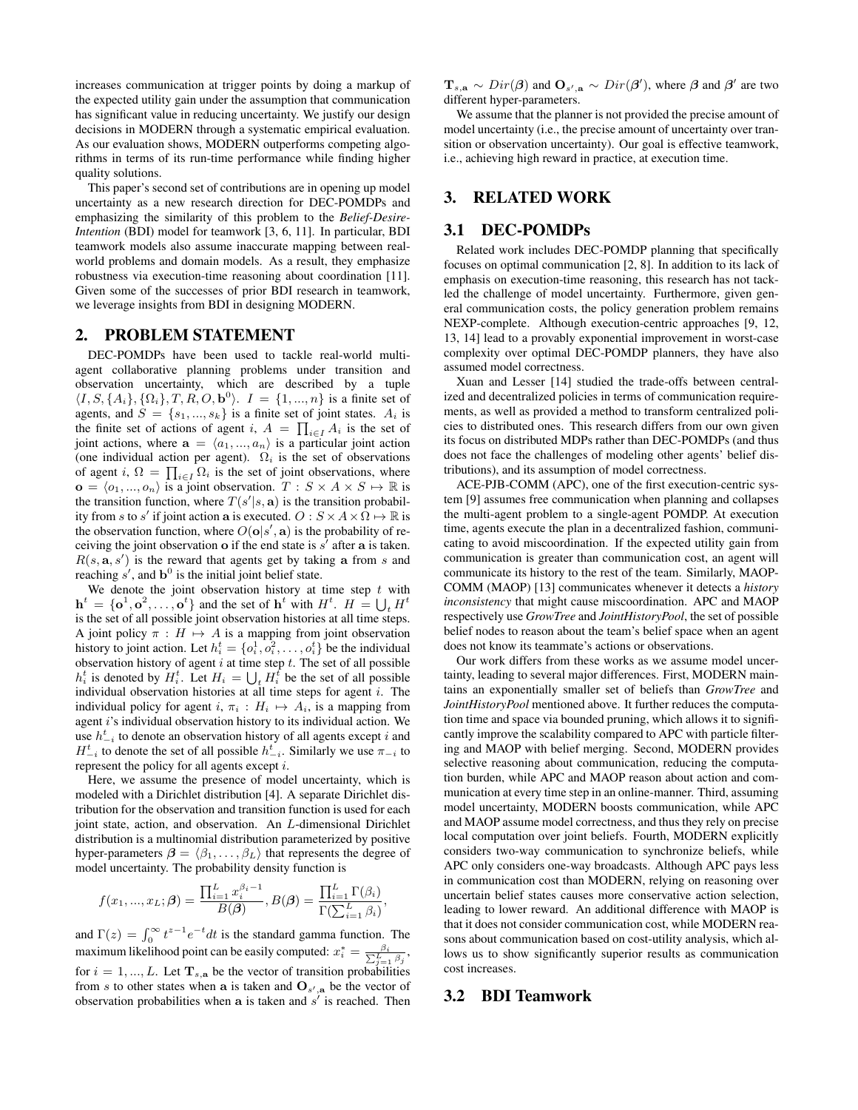increases communication at trigger points by doing a markup of the expected utility gain under the assumption that communication has significant value in reducing uncertainty. We justify our design decisions in MODERN through a systematic empirical evaluation. As our evaluation shows, MODERN outperforms competing algorithms in terms of its run-time performance while finding higher quality solutions.

This paper's second set of contributions are in opening up model uncertainty as a new research direction for DEC-POMDPs and emphasizing the similarity of this problem to the *Belief-Desire-Intention* (BDI) model for teamwork [3, 6, 11]. In particular, BDI teamwork models also assume inaccurate mapping between realworld problems and domain models. As a result, they emphasize robustness via execution-time reasoning about coordination [11]. Given some of the successes of prior BDI research in teamwork, we leverage insights from BDI in designing MODERN.

## 2. PROBLEM STATEMENT

DEC-POMDPs have been used to tackle real-world multiagent collaborative planning problems under transition and observation uncertainty, which are described by a tuple  $\langle I, S, \{A_i\}, \{\Omega_i\}, T, R, O, \mathbf{b}^0 \rangle$ .  $I = \{1, ..., n\}$  is a finite set of agents, and  $S = \{s_1, ..., s_k\}$  is a finite set of joint states.  $A_i$  is the finite set of actions of agent i,  $A = \prod_{i \in I} A_i$  is the set of joint actions, where  $\mathbf{a} = \langle a_1, ..., a_n \rangle$  is a particular joint action (one individual action per agent).  $\Omega_i$  is the set of observations of agent i,  $\Omega = \prod_{i \in I} \Omega_i$  is the set of joint observations, where  $\mathbf{o} = \langle o_1, ..., o_n \rangle$  is a joint observation.  $T : S \times A \times S \mapsto \mathbb{R}$  is the transition function, where  $T(s'|s, a)$  is the transition probability from s to s' if joint action a is executed.  $O: S \times A \times \overline{\Omega} \mapsto \mathbb{R}$  is the observation function, where  $O(\mathbf{o}|s',\mathbf{a})$  is the probability of receiving the joint observation  $\alpha$  if the end state is  $s'$  after  $\alpha$  is taken.  $R(s, a, s')$  is the reward that agents get by taking a from s and reaching  $s'$ , and  $\mathbf{b}^0$  is the initial joint belief state.

We denote the joint observation history at time step  $t$  with  $\mathbf{h}^t = \{\mathbf{o}^1, \mathbf{o}^2, \dots, \mathbf{o}^t\}$  and the set of  $\mathbf{h}^t$  with  $H^t$ .  $H = \bigcup_t H^t$ is the set of all possible joint observation histories at all time steps. A joint policy  $\pi : H \mapsto A$  is a mapping from joint observation history to joint action. Let  $h_i^t = \{o_i^1, o_i^2, \dots, o_i^t\}$  be the individual observation history of agent  $i$  at time step  $t$ . The set of all possible  $h_i^t$  is denoted by  $H_i^t$ . Let  $H_i = \bigcup_t H_i^t$  be the set of all possible individual observation histories at all time steps for agent  $i$ . The individual policy for agent i,  $\pi_i : H_i \mapsto A_i$ , is a mapping from agent i's individual observation history to its individual action. We use  $h_{-i}^t$  to denote an observation history of all agents except i and  $H_{-i}^t$  to denote the set of all possible  $h_{-i}^t$ . Similarly we use  $\pi_{-i}$  to represent the policy for all agents except i.

Here, we assume the presence of model uncertainty, which is modeled with a Dirichlet distribution [4]. A separate Dirichlet distribution for the observation and transition function is used for each joint state, action, and observation. An L-dimensional Dirichlet distribution is a multinomial distribution parameterized by positive hyper-parameters  $\beta = \langle \beta_1, \dots, \beta_L \rangle$  that represents the degree of model uncertainty. The probability density function is

$$
f(x_1, ..., x_L; \beta) = \frac{\prod_{i=1}^L x_i^{\beta_i - 1}}{B(\beta)}, B(\beta) = \frac{\prod_{i=1}^L \Gamma(\beta_i)}{\Gamma(\sum_{i=1}^L \beta_i)},
$$

and  $\Gamma(z) = \int_0^\infty t^{z-1} e^{-t} dt$  is the standard gamma function. The maximum likelihood point can be easily computed:  $x_i^* = \frac{\beta_i}{\sum_{j=1}^L \beta_j}$ , for  $i = 1, ..., L$ . Let  $T_{s,a}$  be the vector of transition probabilities from s to other states when a is taken and  $O_{s',a}$  be the vector of observation probabilities when a is taken and  $s'$  is reached. Then

 $\mathbf{T}_{s,a} \sim Dir(\boldsymbol{\beta})$  and  $\mathbf{O}_{s',a} \sim Dir(\boldsymbol{\beta}')$ , where  $\boldsymbol{\beta}$  and  $\boldsymbol{\beta}'$  are two different hyper-parameters.

We assume that the planner is not provided the precise amount of model uncertainty (i.e., the precise amount of uncertainty over transition or observation uncertainty). Our goal is effective teamwork, i.e., achieving high reward in practice, at execution time.

## 3. RELATED WORK

## 3.1 DEC-POMDPs

Related work includes DEC-POMDP planning that specifically focuses on optimal communication [2, 8]. In addition to its lack of emphasis on execution-time reasoning, this research has not tackled the challenge of model uncertainty. Furthermore, given general communication costs, the policy generation problem remains NEXP-complete. Although execution-centric approaches [9, 12, 13, 14] lead to a provably exponential improvement in worst-case complexity over optimal DEC-POMDP planners, they have also assumed model correctness.

Xuan and Lesser [14] studied the trade-offs between centralized and decentralized policies in terms of communication requirements, as well as provided a method to transform centralized policies to distributed ones. This research differs from our own given its focus on distributed MDPs rather than DEC-POMDPs (and thus does not face the challenges of modeling other agents' belief distributions), and its assumption of model correctness.

ACE-PJB-COMM (APC), one of the first execution-centric system [9] assumes free communication when planning and collapses the multi-agent problem to a single-agent POMDP. At execution time, agents execute the plan in a decentralized fashion, communicating to avoid miscoordination. If the expected utility gain from communication is greater than communication cost, an agent will communicate its history to the rest of the team. Similarly, MAOP-COMM (MAOP) [13] communicates whenever it detects a *history inconsistency* that might cause miscoordination. APC and MAOP respectively use *GrowTree* and *JointHistoryPool*, the set of possible belief nodes to reason about the team's belief space when an agent does not know its teammate's actions or observations.

Our work differs from these works as we assume model uncertainty, leading to several major differences. First, MODERN maintains an exponentially smaller set of beliefs than *GrowTree* and *JointHistoryPool* mentioned above. It further reduces the computation time and space via bounded pruning, which allows it to significantly improve the scalability compared to APC with particle filtering and MAOP with belief merging. Second, MODERN provides selective reasoning about communication, reducing the computation burden, while APC and MAOP reason about action and communication at every time step in an online-manner. Third, assuming model uncertainty, MODERN boosts communication, while APC and MAOP assume model correctness, and thus they rely on precise local computation over joint beliefs. Fourth, MODERN explicitly considers two-way communication to synchronize beliefs, while APC only considers one-way broadcasts. Although APC pays less in communication cost than MODERN, relying on reasoning over uncertain belief states causes more conservative action selection, leading to lower reward. An additional difference with MAOP is that it does not consider communication cost, while MODERN reasons about communication based on cost-utility analysis, which allows us to show significantly superior results as communication cost increases.

#### 3.2 BDI Teamwork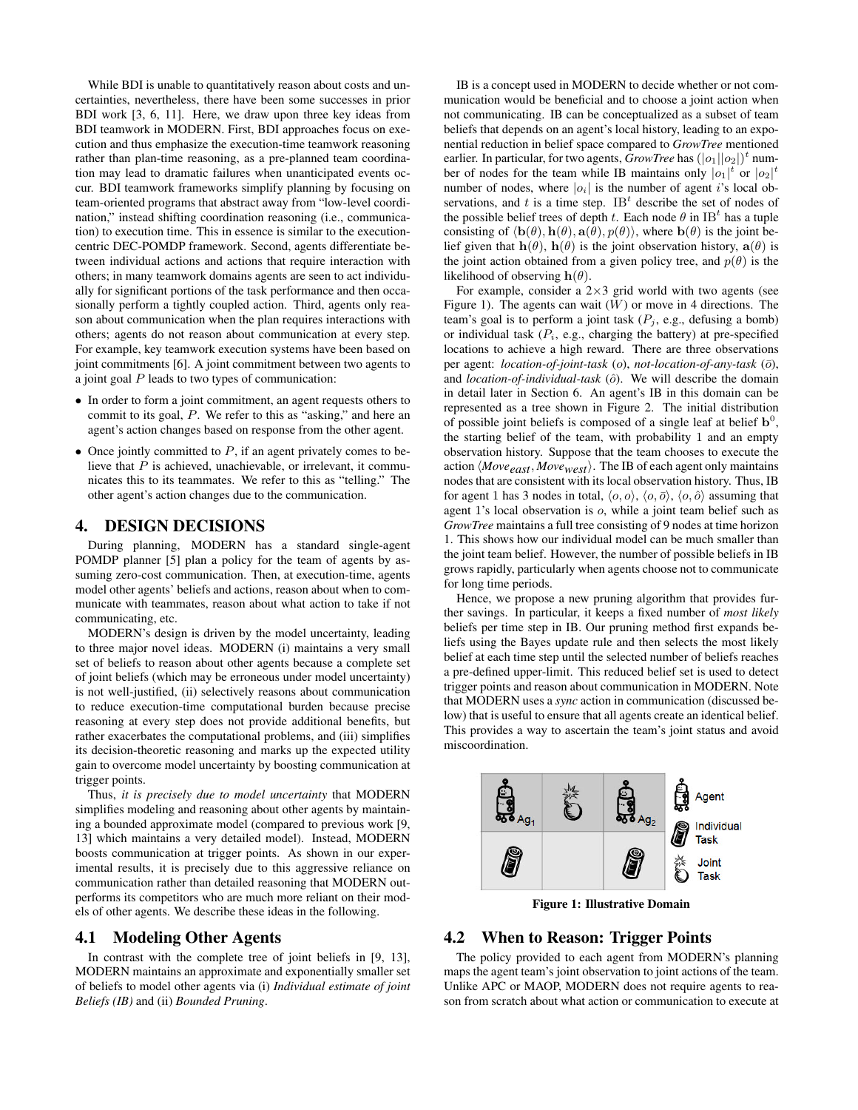While BDI is unable to quantitatively reason about costs and uncertainties, nevertheless, there have been some successes in prior BDI work [3, 6, 11]. Here, we draw upon three key ideas from BDI teamwork in MODERN. First, BDI approaches focus on execution and thus emphasize the execution-time teamwork reasoning rather than plan-time reasoning, as a pre-planned team coordination may lead to dramatic failures when unanticipated events occur. BDI teamwork frameworks simplify planning by focusing on team-oriented programs that abstract away from "low-level coordination," instead shifting coordination reasoning (i.e., communication) to execution time. This in essence is similar to the executioncentric DEC-POMDP framework. Second, agents differentiate between individual actions and actions that require interaction with others; in many teamwork domains agents are seen to act individually for significant portions of the task performance and then occasionally perform a tightly coupled action. Third, agents only reason about communication when the plan requires interactions with others; agents do not reason about communication at every step. For example, key teamwork execution systems have been based on joint commitments [6]. A joint commitment between two agents to a joint goal  $P$  leads to two types of communication:

- In order to form a joint commitment, an agent requests others to commit to its goal, P. We refer to this as "asking," and here an agent's action changes based on response from the other agent.
- Once jointly committed to  $P$ , if an agent privately comes to believe that  $P$  is achieved, unachievable, or irrelevant, it communicates this to its teammates. We refer to this as "telling." The other agent's action changes due to the communication.

## 4. DESIGN DECISIONS

During planning, MODERN has a standard single-agent POMDP planner [5] plan a policy for the team of agents by assuming zero-cost communication. Then, at execution-time, agents model other agents' beliefs and actions, reason about when to communicate with teammates, reason about what action to take if not communicating, etc.

MODERN's design is driven by the model uncertainty, leading to three major novel ideas. MODERN (i) maintains a very small set of beliefs to reason about other agents because a complete set of joint beliefs (which may be erroneous under model uncertainty) is not well-justified, (ii) selectively reasons about communication to reduce execution-time computational burden because precise reasoning at every step does not provide additional benefits, but rather exacerbates the computational problems, and (iii) simplifies its decision-theoretic reasoning and marks up the expected utility gain to overcome model uncertainty by boosting communication at trigger points.

Thus, *it is precisely due to model uncertainty* that MODERN simplifies modeling and reasoning about other agents by maintaining a bounded approximate model (compared to previous work [9, 13] which maintains a very detailed model). Instead, MODERN boosts communication at trigger points. As shown in our experimental results, it is precisely due to this aggressive reliance on communication rather than detailed reasoning that MODERN outperforms its competitors who are much more reliant on their models of other agents. We describe these ideas in the following.

#### 4.1 Modeling Other Agents

In contrast with the complete tree of joint beliefs in [9, 13], MODERN maintains an approximate and exponentially smaller set of beliefs to model other agents via (i) *Individual estimate of joint Beliefs (IB)* and (ii) *Bounded Pruning*.

IB is a concept used in MODERN to decide whether or not communication would be beneficial and to choose a joint action when not communicating. IB can be conceptualized as a subset of team beliefs that depends on an agent's local history, leading to an exponential reduction in belief space compared to *GrowTree* mentioned earlier. In particular, for two agents,  $GrowTree$  has  $(|o_1||o_2|)^t$  number of nodes for the team while IB maintains only  $|o_1|^t$  or  $|o_2|^t$ number of nodes, where  $|o_i|$  is the number of agent is local observations, and t is a time step.  $IB<sup>t</sup>$  describe the set of nodes of the possible belief trees of depth t. Each node  $\theta$  in IB<sup>t</sup> has a tuple consisting of  $\langle \mathbf{b}(\theta), \mathbf{h}(\theta), \mathbf{a}(\theta), p(\theta) \rangle$ , where  $\mathbf{b}(\theta)$  is the joint belief given that  $h(\theta)$ ,  $h(\theta)$  is the joint observation history,  $a(\theta)$  is the joint action obtained from a given policy tree, and  $p(\theta)$  is the likelihood of observing  $h(\theta)$ .

For example, consider a  $2\times3$  grid world with two agents (see Figure 1). The agents can wait  $(W)$  or move in 4 directions. The team's goal is to perform a joint task  $(P_i, e.g.,$  defusing a bomb) or individual task  $(P_i, e.g., charging the battery)$  at pre-specified locations to achieve a high reward. There are three observations per agent: *location-of-joint-task* (o), *not-location-of-any-task* ( $\bar{o}$ ), and *location-of-individual-task* ( $\hat{o}$ ). We will describe the domain in detail later in Section 6. An agent's IB in this domain can be represented as a tree shown in Figure 2. The initial distribution of possible joint beliefs is composed of a single leaf at belief  $\mathbf{b}^0$ , the starting belief of the team, with probability 1 and an empty observation history. Suppose that the team chooses to execute the action  $\langle Move_{east}, Move_{west} \rangle$ . The IB of each agent only maintains nodes that are consistent with its local observation history. Thus, IB for agent 1 has 3 nodes in total,  $\langle o, o \rangle$ ,  $\langle o, \overline{o} \rangle$ ,  $\langle o, \hat{o} \rangle$  assuming that agent 1's local observation is o, while a joint team belief such as *GrowTree* maintains a full tree consisting of 9 nodes at time horizon 1. This shows how our individual model can be much smaller than the joint team belief. However, the number of possible beliefs in IB grows rapidly, particularly when agents choose not to communicate for long time periods.

Hence, we propose a new pruning algorithm that provides further savings. In particular, it keeps a fixed number of *most likely* beliefs per time step in IB. Our pruning method first expands beliefs using the Bayes update rule and then selects the most likely belief at each time step until the selected number of beliefs reaches a pre-defined upper-limit. This reduced belief set is used to detect trigger points and reason about communication in MODERN. Note that MODERN uses a *sync* action in communication (discussed below) that is useful to ensure that all agents create an identical belief. This provides a way to ascertain the team's joint status and avoid miscoordination.



Figure 1: Illustrative Domain

#### 4.2 When to Reason: Trigger Points

The policy provided to each agent from MODERN's planning maps the agent team's joint observation to joint actions of the team. Unlike APC or MAOP, MODERN does not require agents to reason from scratch about what action or communication to execute at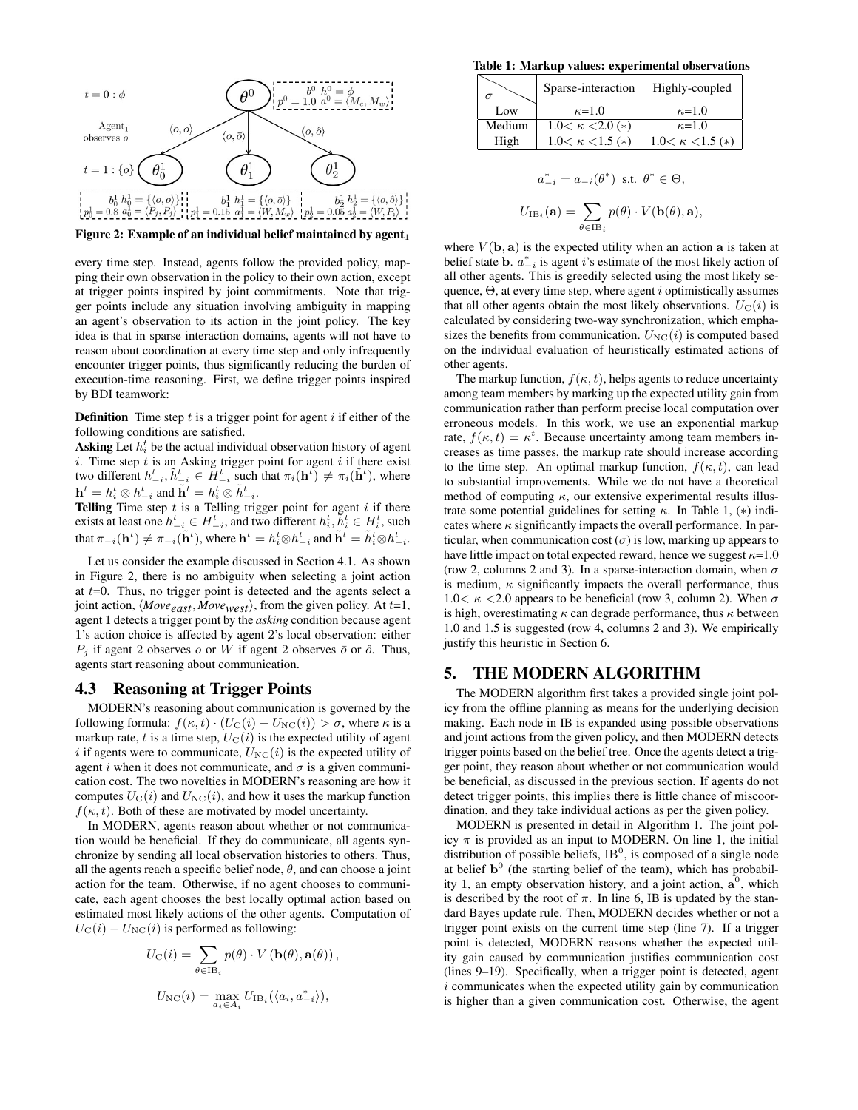

Figure 2: Example of an individual belief maintained by agent $_1$ 

every time step. Instead, agents follow the provided policy, mapping their own observation in the policy to their own action, except at trigger points inspired by joint commitments. Note that trigger points include any situation involving ambiguity in mapping an agent's observation to its action in the joint policy. The key idea is that in sparse interaction domains, agents will not have to reason about coordination at every time step and only infrequently encounter trigger points, thus significantly reducing the burden of execution-time reasoning. First, we define trigger points inspired by BDI teamwork:

**Definition** Time step  $t$  is a trigger point for agent  $i$  if either of the following conditions are satisfied.

**Asking** Let  $h_i^t$  be the actual individual observation history of agent i. Time step  $t$  is an Asking trigger point for agent  $i$  if there exist two different  $h_{-i}^t, \tilde{h}_{-i}^t \in H_{-i}^t$  such that  $\pi_i(\mathbf{h}^t) \neq \pi_i(\tilde{\mathbf{h}}^t)$ , where  $\mathbf{h}^t = h^t_i \otimes h^t_{-i}$  and  $\tilde{\mathbf{h}}^t = h^t_i \otimes \tilde{h}^t_{-i}$ .

Telling Time step  $t$  is a Telling trigger point for agent  $i$  if there exists at least one  $h_{-i}^t \in H_{-i}^t$ , and two different  $h_i^t, \tilde{h}_i^t \in H_i^t$ , such that  $\pi_{-i}(\mathbf{h}^t) \neq \pi_{-i}(\tilde{\mathbf{h}}^t)$ , where  $\mathbf{h}^t = h^t_i \otimes h^t_{-i}$  and  $\tilde{\mathbf{h}}^t = \tilde{h}^t_i \otimes h^t_{-i}$ .

Let us consider the example discussed in Section 4.1. As shown in Figure 2, there is no ambiguity when selecting a joint action at  $t=0$ . Thus, no trigger point is detected and the agents select a joint action,  $\langle Move_{east}$ ,  $Move_{west}$ , from the given policy. At t=1, agent 1 detects a trigger point by the *asking* condition because agent 1's action choice is affected by agent 2's local observation: either  $P_i$  if agent 2 observes o or W if agent 2 observes  $\bar{o}$  or  $\hat{o}$ . Thus, agents start reasoning about communication.

## 4.3 Reasoning at Trigger Points

MODERN's reasoning about communication is governed by the following formula:  $f(\kappa, t) \cdot (U_{\rm C}(i) - U_{\rm NC}(i)) > \sigma$ , where  $\kappa$  is a markup rate, t is a time step,  $U_C(i)$  is the expected utility of agent i if agents were to communicate,  $U_{\text{NC}}(i)$  is the expected utility of agent i when it does not communicate, and  $\sigma$  is a given communication cost. The two novelties in MODERN's reasoning are how it computes  $U_{\rm C}(i)$  and  $U_{\rm NC}(i)$ , and how it uses the markup function  $f(\kappa, t)$ . Both of these are motivated by model uncertainty.

In MODERN, agents reason about whether or not communication would be beneficial. If they do communicate, all agents synchronize by sending all local observation histories to others. Thus, all the agents reach a specific belief node,  $\theta$ , and can choose a joint action for the team. Otherwise, if no agent chooses to communicate, each agent chooses the best locally optimal action based on estimated most likely actions of the other agents. Computation of  $U_{\rm C}(i) - U_{\rm NC}(i)$  is performed as following:

$$
U_{\rm C}(i) = \sum_{\theta \in \rm IB_i} p(\theta) \cdot V(\mathbf{b}(\theta), \mathbf{a}(\theta)),
$$
  
\n
$$
U_{\rm NC}(i) = \max_{a_i \in A_i} U_{\rm IB_i}(\langle a_i, a_{-i}^* \rangle),
$$

| Table 1: Markup values: experimental observations |        |                          |                          |  |  |  |  |  |
|---------------------------------------------------|--------|--------------------------|--------------------------|--|--|--|--|--|
|                                                   |        | Sparse-interaction       | Highly-coupled           |  |  |  |  |  |
|                                                   | Low    | $\kappa$ =1.0            | $\kappa=1.0$             |  |  |  |  |  |
|                                                   | Medium | $1.0<\kappa<2.0(*)$      | $\kappa=1.0$             |  |  |  |  |  |
|                                                   | High   | $1.0 < \kappa < 1.5 (*)$ | $1.0 < \kappa < 1.5$ (*) |  |  |  |  |  |

$$
a_{-i}^{*} = a_{-i}(\theta^{*}) \text{ s.t. } \theta^{*} \in \Theta,
$$
  

$$
U_{\text{IB}_i}(\mathbf{a}) = \sum_{\theta \in \text{IB}_i} p(\theta) \cdot V(\mathbf{b}(\theta), \mathbf{a}),
$$

where  $V(\mathbf{b}, \mathbf{a})$  is the expected utility when an action  $\mathbf{a}$  is taken at belief state **b**.  $a_{-i}^*$  is agent *i*'s estimate of the most likely action of all other agents. This is greedily selected using the most likely sequence,  $\Theta$ , at every time step, where agent *i* optimistically assumes that all other agents obtain the most likely observations.  $U_{\text{C}}(i)$  is calculated by considering two-way synchronization, which emphasizes the benefits from communication.  $U_{\text{NC}}(i)$  is computed based on the individual evaluation of heuristically estimated actions of other agents.

The markup function,  $f(\kappa, t)$ , helps agents to reduce uncertainty among team members by marking up the expected utility gain from communication rather than perform precise local computation over erroneous models. In this work, we use an exponential markup rate,  $f(\kappa, t) = \kappa^t$ . Because uncertainty among team members increases as time passes, the markup rate should increase according to the time step. An optimal markup function,  $f(\kappa, t)$ , can lead to substantial improvements. While we do not have a theoretical method of computing  $\kappa$ , our extensive experimental results illustrate some potential guidelines for setting  $\kappa$ . In Table 1, (\*) indicates where  $\kappa$  significantly impacts the overall performance. In particular, when communication cost  $(\sigma)$  is low, marking up appears to have little impact on total expected reward, hence we suggest  $\kappa$ =1.0 (row 2, columns 2 and 3). In a sparse-interaction domain, when  $\sigma$ is medium,  $\kappa$  significantly impacts the overall performance, thus 1.0<  $\kappa$  <2.0 appears to be beneficial (row 3, column 2). When  $\sigma$ is high, overestimating  $\kappa$  can degrade performance, thus  $\kappa$  between 1.0 and 1.5 is suggested (row 4, columns 2 and 3). We empirically justify this heuristic in Section 6.

## 5. THE MODERN ALGORITHM

The MODERN algorithm first takes a provided single joint policy from the offline planning as means for the underlying decision making. Each node in IB is expanded using possible observations and joint actions from the given policy, and then MODERN detects trigger points based on the belief tree. Once the agents detect a trigger point, they reason about whether or not communication would be beneficial, as discussed in the previous section. If agents do not detect trigger points, this implies there is little chance of miscoordination, and they take individual actions as per the given policy.

MODERN is presented in detail in Algorithm 1. The joint policy  $\pi$  is provided as an input to MODERN. On line 1, the initial distribution of possible beliefs,  $IB^0$ , is composed of a single node at belief  $\mathbf{b}^0$  (the starting belief of the team), which has probability 1, an empty observation history, and a joint action,  $a^0$ , which is described by the root of  $\pi$ . In line 6, IB is updated by the standard Bayes update rule. Then, MODERN decides whether or not a trigger point exists on the current time step (line 7). If a trigger point is detected, MODERN reasons whether the expected utility gain caused by communication justifies communication cost (lines 9–19). Specifically, when a trigger point is detected, agent  $i$  communicates when the expected utility gain by communication is higher than a given communication cost. Otherwise, the agent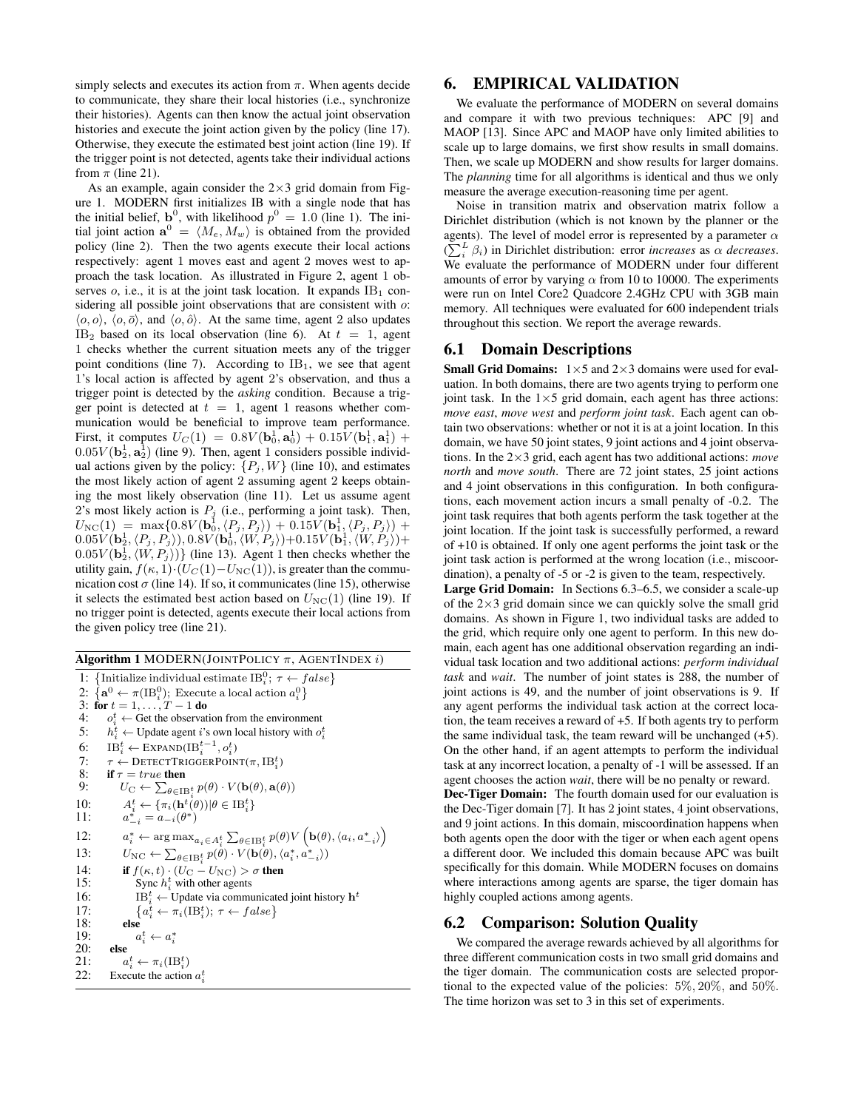simply selects and executes its action from  $\pi$ . When agents decide to communicate, they share their local histories (i.e., synchronize their histories). Agents can then know the actual joint observation histories and execute the joint action given by the policy (line 17). Otherwise, they execute the estimated best joint action (line 19). If the trigger point is not detected, agents take their individual actions from  $\pi$  (line 21).

As an example, again consider the  $2\times3$  grid domain from Figure 1. MODERN first initializes IB with a single node that has the initial belief,  $\mathbf{b}^0$ , with likelihood  $p^0 = 1.0$  (line 1). The initial joint action  $\mathbf{a}^0 = \langle M_e, M_w \rangle$  is obtained from the provided policy (line 2). Then the two agents execute their local actions respectively: agent 1 moves east and agent 2 moves west to approach the task location. As illustrated in Figure 2, agent 1 observes  $o$ , i.e., it is at the joint task location. It expands  $IB<sub>1</sub>$  considering all possible joint observations that are consistent with  $o$ :  $\langle o, o \rangle$ ,  $\langle o, \overline{o} \rangle$ , and  $\langle o, \hat{o} \rangle$ . At the same time, agent 2 also updates IB<sub>2</sub> based on its local observation (line 6). At  $t = 1$ , agent 1 checks whether the current situation meets any of the trigger point conditions (line 7). According to  $IB<sub>1</sub>$ , we see that agent 1's local action is affected by agent 2's observation, and thus a trigger point is detected by the *asking* condition. Because a trigger point is detected at  $t = 1$ , agent 1 reasons whether communication would be beneficial to improve team performance. First, it computes  $U_C(1) = 0.8V(\mathbf{b}_0^1, \mathbf{a}_0^1) + 0.15V(\mathbf{b}_1^1, \mathbf{a}_1^1) +$  $0.05V(\mathbf{b}_2^1, \mathbf{a}_2^1)$  (line 9). Then, agent 1 considers possible individual actions given by the policy:  $\{P_j, W\}$  (line 10), and estimates the most likely action of agent 2 assuming agent 2 keeps obtaining the most likely observation (line 11). Let us assume agent 2's most likely action is  $P_j$  (i.e., performing a joint task). Then,  $U_{\rm NC}(1) \;=\; \max\{0.8 V({\bf b}_0^{\rm j},\langle P_j,P_j\rangle) \,+\,0.15 V({\bf b}_1^1,\langle P_j,P_j\rangle) \,+$  $0.05V(\mathbf{b}_2^1,\langle P_j,P_j\rangle ), 0.8V(\mathbf{b}_0^1,\langle W,P_j\rangle) + 0.15V(\mathbf{b}_1^1,\langle W,P_j\rangle) +$  $(0.05V(\mathbf{b}_2^1, \langle W, P_j \rangle))$  (line 13). Agent 1 then checks whether the utility gain,  $f(\kappa, 1) \cdot (U_C(1) - U_{NC}(1))$ , is greater than the communication cost  $\sigma$  (line 14). If so, it communicates (line 15), otherwise it selects the estimated best action based on  $U_{\text{NC}}(1)$  (line 19). If no trigger point is detected, agents execute their local actions from the given policy tree (line 21).

Algorithm 1 MODERN(JOINTPOLICY  $\pi$ , AGENTINDEX i)

1: {Initialize individual estimate  $IB_i^0; \tau \leftarrow false$ } 2:  $\{a^0 \leftarrow \pi(\text{IB}_i^0);$  Execute a local action  $a_i^0\}$ 3: for  $t = 1, ..., T - 1$  do<br>4:  $\sigma_i^t \leftarrow$  Get the observat 4:  $o_i^t \leftarrow$  Get the observation from the environment 5:  $h_i^t \leftarrow$  Update agent *i*'s own local history with  $o_i^t$ 6:  $IB_i^t \leftarrow \text{EXPAND}(IB_i^{t-1}, o_i^t)$ 7:  $\tau \leftarrow$  DETECTTRIGGERPOINT $(\pi, IB_i^t)$ 8: if  $\tau = true$  then<br>9:  $U_C \leftarrow \sum_{\alpha \in \mathbb{N}}$ 9:  $U_{\mathcal{C}} \leftarrow \sum_{\theta \in \mathcal{B}_{i}^{t}} p(\theta) \cdot V(\mathbf{b}(\theta), \mathbf{a}(\theta))$ 10:  $A_i^t \leftarrow {\pi_i(\mathbf{h}^t(\theta)) | \theta \in \text{IB}_i^t}$ 11: a  $\sum_{i=1}^{k} a_{-i}(\theta^*)$  $12:$  $\mathbf{a}_i^* \leftarrow \arg \max_{a_i \in A_i^t} \sum_{\theta \in \text{IB}_i^t} p(\theta) V\left(\mathbf{b}(\theta), \langle a_i, a_{-i}^* \rangle\right)$ 13:  $U_{\text{NC}} \leftarrow \sum_{\theta \in \text{IB}_i^t} p(\theta) \cdot V(\mathbf{b}(\theta), \langle a_i^*, a_{-i}^* \rangle)$ 14: if  $f(\kappa, t) \cdot (U_C - U_{NC}) > \sigma$  then 15: Sync  $h_i^t$  with other agents 16: IB<sup>t</sup><sub>i</sub> ← Update via communicated joint history **h**<sup>t</sup>  $\frac{17}{18}$  $a_i^t \leftarrow \pi_i(\mathrm{IB}_i^t); \ \tau \leftarrow false$ else  $19:$  $i^t \leftarrow a_i^*$ 20: else  $21:$  $t_i^t \leftarrow \pi_i(\mathrm{IB}_i^t)$ 22: Execute the action  $a_i^t$ 

## 6. EMPIRICAL VALIDATION

We evaluate the performance of MODERN on several domains and compare it with two previous techniques: APC [9] and MAOP [13]. Since APC and MAOP have only limited abilities to scale up to large domains, we first show results in small domains. Then, we scale up MODERN and show results for larger domains. The *planning* time for all algorithms is identical and thus we only measure the average execution-reasoning time per agent.

Noise in transition matrix and observation matrix follow a Dirichlet distribution (which is not known by the planner or the agents). The level of model error is represented by a parameter  $\alpha$  $(\sum_{i}^{L} \beta_{i})$  in Dirichlet distribution: error *increases* as  $\alpha$  *decreases.* We evaluate the performance of MODERN under four different amounts of error by varying  $\alpha$  from 10 to 10000. The experiments were run on Intel Core2 Quadcore 2.4GHz CPU with 3GB main memory. All techniques were evaluated for 600 independent trials throughout this section. We report the average rewards.

#### 6.1 Domain Descriptions

**Small Grid Domains:**  $1 \times 5$  and  $2 \times 3$  domains were used for evaluation. In both domains, there are two agents trying to perform one joint task. In the  $1\times 5$  grid domain, each agent has three actions: *move east*, *move west* and *perform joint task*. Each agent can obtain two observations: whether or not it is at a joint location. In this domain, we have 50 joint states, 9 joint actions and 4 joint observations. In the 2×3 grid, each agent has two additional actions: *move north* and *move south*. There are 72 joint states, 25 joint actions and 4 joint observations in this configuration. In both configurations, each movement action incurs a small penalty of -0.2. The joint task requires that both agents perform the task together at the joint location. If the joint task is successfully performed, a reward of +10 is obtained. If only one agent performs the joint task or the joint task action is performed at the wrong location (i.e., miscoordination), a penalty of -5 or -2 is given to the team, respectively.

Large Grid Domain: In Sections 6.3–6.5, we consider a scale-up of the  $2\times3$  grid domain since we can quickly solve the small grid domains. As shown in Figure 1, two individual tasks are added to the grid, which require only one agent to perform. In this new domain, each agent has one additional observation regarding an individual task location and two additional actions: *perform individual task* and *wait*. The number of joint states is 288, the number of joint actions is 49, and the number of joint observations is 9. If any agent performs the individual task action at the correct location, the team receives a reward of +5. If both agents try to perform the same individual task, the team reward will be unchanged (+5). On the other hand, if an agent attempts to perform the individual task at any incorrect location, a penalty of -1 will be assessed. If an agent chooses the action *wait*, there will be no penalty or reward.

Dec-Tiger Domain: The fourth domain used for our evaluation is the Dec-Tiger domain [7]. It has 2 joint states, 4 joint observations, and 9 joint actions. In this domain, miscoordination happens when both agents open the door with the tiger or when each agent opens a different door. We included this domain because APC was built specifically for this domain. While MODERN focuses on domains where interactions among agents are sparse, the tiger domain has highly coupled actions among agents.

## 6.2 Comparison: Solution Quality

We compared the average rewards achieved by all algorithms for three different communication costs in two small grid domains and the tiger domain. The communication costs are selected proportional to the expected value of the policies: 5%, 20%, and 50%. The time horizon was set to 3 in this set of experiments.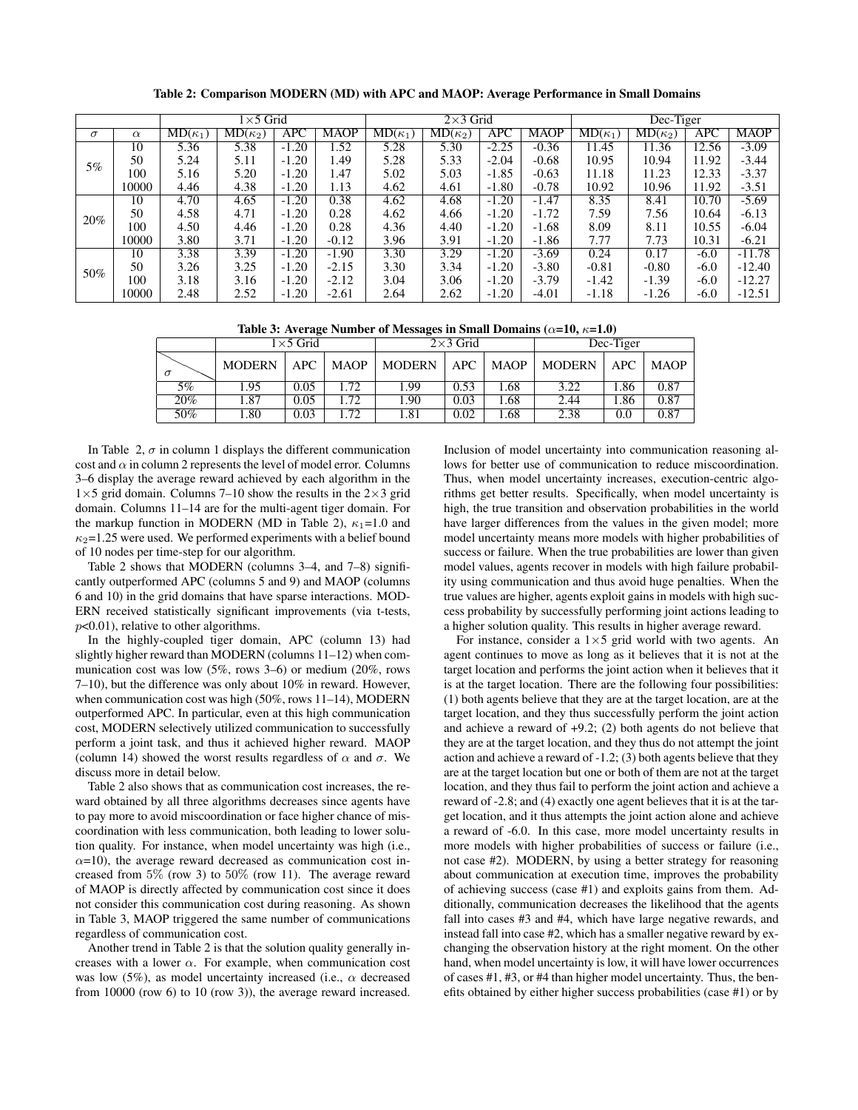| $1\times 5$ Grid |                 |                | $2\times3$ Grid                    |            |             | Dec-Tiger                          |                |         |             |                |                |        |             |
|------------------|-----------------|----------------|------------------------------------|------------|-------------|------------------------------------|----------------|---------|-------------|----------------|----------------|--------|-------------|
| $\sigma$         | $\alpha$        | $MD(\kappa_1)$ | $\overline{\mathrm{MD}}(\kappa_2)$ | <b>APC</b> | <b>MAOP</b> | $\overline{\mathrm{MD}}(\kappa_1)$ | $MD(\kappa_2)$ | APC     | <b>MAOP</b> | $MD(\kappa_1)$ | $MD(\kappa_2)$ | APC    | <b>MAOP</b> |
|                  | 10              | 5.36           | 5.38                               | $-1.20$    | .52         | 5.28                               | 5.30           | $-2.25$ | $-0.36$     | 11.45          | 11.36          | 12.56  | $-3.09$     |
| 5%               | 50              | 5.24           | 5.11                               | $-1.20$    | 49.،        | 5.28                               | 5.33           | $-2.04$ | $-0.68$     | 10.95          | 10.94          | 11.92  | $-3.44$     |
|                  | 100             | 5.16           | 5.20                               | $-1.20$    | l.47        | 5.02                               | 5.03           | $-1.85$ | $-0.63$     | 11.18          | 11.23          | 12.33  | $-3.37$     |
|                  | 10000           | 4.46           | 4.38                               | $-1.20$    | 1.13        | 4.62                               | 4.61           | $-1.80$ | $-0.78$     | 10.92          | 10.96          | 11.92  | $-3.51$     |
|                  | 10              | 4.70           | 4.65                               | $-1.20$    | 0.38        | 4.62                               | 4.68           | $-1.20$ | $-1.47$     | 8.35           | 8.41           | 10.70  | $-5.69$     |
| 20%              | 50              | 4.58           | 4.71                               | $-1.20$    | 0.28        | 4.62                               | 4.66           | $-1.20$ | $-1.72$     | 7.59           | 7.56           | 10.64  | $-6.13$     |
|                  | 100             | 4.50           | 4.46                               | $-1.20$    | 0.28        | 4.36                               | 4.40           | $-1.20$ | $-1.68$     | 8.09           | 8.11           | 10.55  | $-6.04$     |
|                  | 10000           | 3.80           | 3.71                               | $-1.20$    | $-0.12$     | 3.96                               | 3.91           | $-1.20$ | $-1.86$     | 7.77           | 7.73           | 10.31  | $-6.21$     |
|                  | $\overline{10}$ | 3.38           | 3.39                               | $-1.20$    | $-1.90$     | 3.30                               | 3.29           | $-1.20$ | $-3.69$     | 0.24           | 0.17           | $-6.0$ | $-11.78$    |
| 50%              | 50              | 3.26           | 3.25                               | $-1.20$    | $-2.15$     | 3.30                               | 3.34           | $-1.20$ | $-3.80$     | $-0.81$        | $-0.80$        | $-6.0$ | $-12.40$    |
|                  | 100             | 3.18           | 3.16                               | $-1.20$    | $-2.12$     | 3.04                               | 3.06           | $-1.20$ | $-3.79$     | $-1.42$        | $-1.39$        | $-6.0$ | $-12.27$    |
|                  | 10000           | 2.48           | 2.52                               | $-1.20$    | $-2.61$     | 2.64                               | 2.62           | $-1.20$ | $-4.01$     | $-1.18$        | $-1.26$        | $-6.0$ | $-12.51$    |

Table 2: Comparison MODERN (MD) with APC and MAOP: Average Performance in Small Domains

Table 3: Average Number of Messages in Small Domains ( $\alpha$ =10,  $\kappa$ =1.0)

|          | $1\times 5$ Grid |      |             | $2\times3$ Grid |       |             | Dec-Tiger     |      |             |
|----------|------------------|------|-------------|-----------------|-------|-------------|---------------|------|-------------|
| $\sigma$ | <b>MODERN</b>    | APC  | <b>MAOP</b> | <b>MODERN</b>   | APC - | <b>MAOP</b> | <b>MODERN</b> | APC  | <b>MAOP</b> |
| $5\%$    | l.95             | 0.05 | .72         | 1.99            | 0.53  | l.68        | 3.22          | . 86 | 0.87        |
| 20%      | 1.87             | 0.05 | .72         | 1.90            | 0.03  | l.68        | 2.44          | . 86 | 0.87        |
| 50%      | .80              | 0.03 | .72         | 1.81            | 0.02  | 1.68        | 2.38          | 0.0  | 0.87        |

In Table 2,  $\sigma$  in column 1 displays the different communication cost and  $\alpha$  in column 2 represents the level of model error. Columns 3–6 display the average reward achieved by each algorithm in the  $1\times5$  grid domain. Columns 7–10 show the results in the 2×3 grid domain. Columns 11–14 are for the multi-agent tiger domain. For the markup function in MODERN (MD in Table 2),  $\kappa_1 = 1.0$  and  $\kappa_2$ =1.25 were used. We performed experiments with a belief bound of 10 nodes per time-step for our algorithm.

Table 2 shows that MODERN (columns 3–4, and 7–8) significantly outperformed APC (columns 5 and 9) and MAOP (columns 6 and 10) in the grid domains that have sparse interactions. MOD-ERN received statistically significant improvements (via t-tests,  $p<0.01$ ), relative to other algorithms.

In the highly-coupled tiger domain, APC (column 13) had slightly higher reward than MODERN (columns 11–12) when communication cost was low (5%, rows 3–6) or medium (20%, rows 7–10), but the difference was only about 10% in reward. However, when communication cost was high (50%, rows 11–14), MODERN outperformed APC. In particular, even at this high communication cost, MODERN selectively utilized communication to successfully perform a joint task, and thus it achieved higher reward. MAOP (column 14) showed the worst results regardless of  $\alpha$  and  $\sigma$ . We discuss more in detail below.

Table 2 also shows that as communication cost increases, the reward obtained by all three algorithms decreases since agents have to pay more to avoid miscoordination or face higher chance of miscoordination with less communication, both leading to lower solution quality. For instance, when model uncertainty was high (i.e.,  $\alpha$ =10), the average reward decreased as communication cost increased from 5% (row 3) to 50% (row 11). The average reward of MAOP is directly affected by communication cost since it does not consider this communication cost during reasoning. As shown in Table 3, MAOP triggered the same number of communications regardless of communication cost.

Another trend in Table 2 is that the solution quality generally increases with a lower  $\alpha$ . For example, when communication cost was low (5%), as model uncertainty increased (i.e.,  $\alpha$  decreased from 10000 (row 6) to 10 (row 3)), the average reward increased.

Inclusion of model uncertainty into communication reasoning allows for better use of communication to reduce miscoordination. Thus, when model uncertainty increases, execution-centric algorithms get better results. Specifically, when model uncertainty is high, the true transition and observation probabilities in the world have larger differences from the values in the given model; more model uncertainty means more models with higher probabilities of success or failure. When the true probabilities are lower than given model values, agents recover in models with high failure probability using communication and thus avoid huge penalties. When the true values are higher, agents exploit gains in models with high success probability by successfully performing joint actions leading to a higher solution quality. This results in higher average reward.

For instance, consider a  $1\times 5$  grid world with two agents. An agent continues to move as long as it believes that it is not at the target location and performs the joint action when it believes that it is at the target location. There are the following four possibilities: (1) both agents believe that they are at the target location, are at the target location, and they thus successfully perform the joint action and achieve a reward of +9.2; (2) both agents do not believe that they are at the target location, and they thus do not attempt the joint action and achieve a reward of -1.2; (3) both agents believe that they are at the target location but one or both of them are not at the target location, and they thus fail to perform the joint action and achieve a reward of -2.8; and (4) exactly one agent believes that it is at the target location, and it thus attempts the joint action alone and achieve a reward of -6.0. In this case, more model uncertainty results in more models with higher probabilities of success or failure (i.e., not case #2). MODERN, by using a better strategy for reasoning about communication at execution time, improves the probability of achieving success (case #1) and exploits gains from them. Additionally, communication decreases the likelihood that the agents fall into cases #3 and #4, which have large negative rewards, and instead fall into case #2, which has a smaller negative reward by exchanging the observation history at the right moment. On the other hand, when model uncertainty is low, it will have lower occurrences of cases #1, #3, or #4 than higher model uncertainty. Thus, the benefits obtained by either higher success probabilities (case #1) or by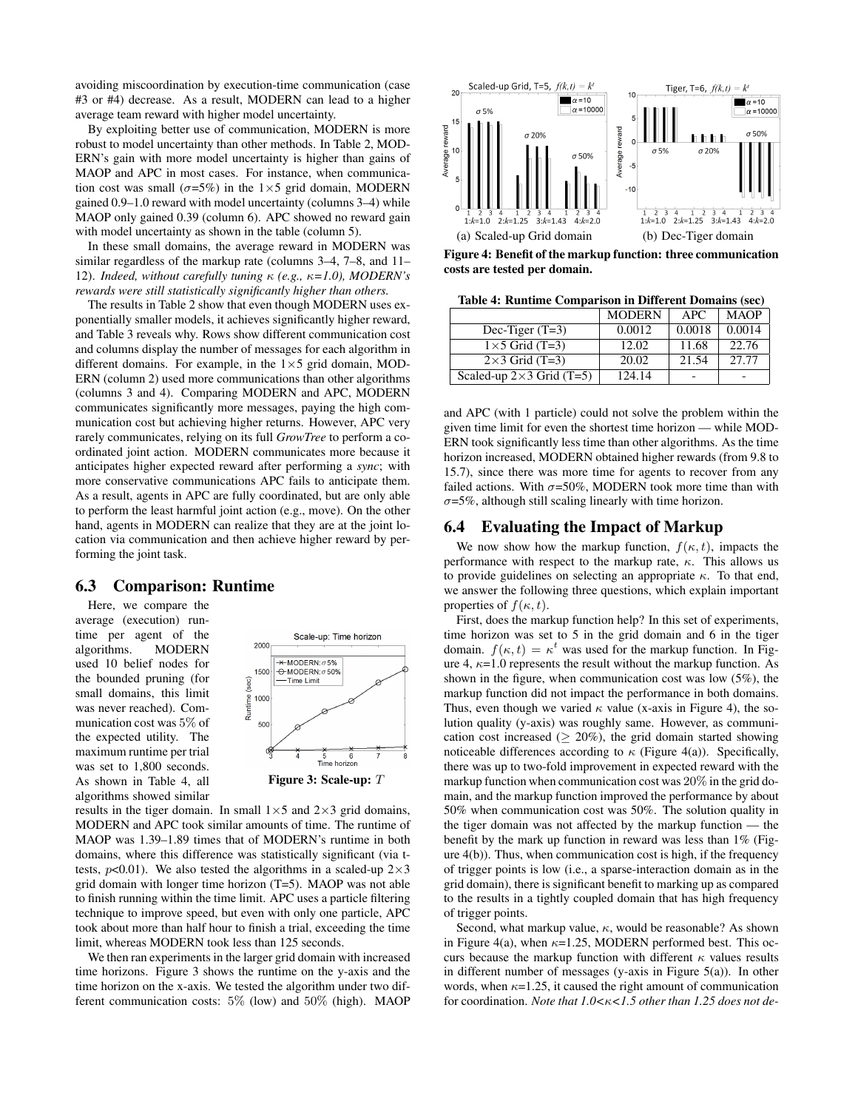avoiding miscoordination by execution-time communication (case #3 or #4) decrease. As a result, MODERN can lead to a higher average team reward with higher model uncertainty.

By exploiting better use of communication, MODERN is more robust to model uncertainty than other methods. In Table 2, MOD-ERN's gain with more model uncertainty is higher than gains of MAOP and APC in most cases. For instance, when communication cost was small ( $\sigma$ =5%) in the 1×5 grid domain, MODERN gained 0.9–1.0 reward with model uncertainty (columns 3–4) while MAOP only gained 0.39 (column 6). APC showed no reward gain with model uncertainty as shown in the table (column 5).

In these small domains, the average reward in MODERN was similar regardless of the markup rate (columns 3–4, 7–8, and 11– 12). *Indeed, without carefully tuning* κ *(e.g.,* κ*=1.0), MODERN's rewards were still statistically significantly higher than others.*

The results in Table 2 show that even though MODERN uses exponentially smaller models, it achieves significantly higher reward, and Table 3 reveals why. Rows show different communication cost and columns display the number of messages for each algorithm in different domains. For example, in the  $1\times 5$  grid domain, MOD-ERN (column 2) used more communications than other algorithms (columns 3 and 4). Comparing MODERN and APC, MODERN communicates significantly more messages, paying the high communication cost but achieving higher returns. However, APC very rarely communicates, relying on its full *GrowTree* to perform a coordinated joint action. MODERN communicates more because it anticipates higher expected reward after performing a *sync*; with more conservative communications APC fails to anticipate them. As a result, agents in APC are fully coordinated, but are only able to perform the least harmful joint action (e.g., move). On the other hand, agents in MODERN can realize that they are at the joint location via communication and then achieve higher reward by performing the joint task.

## 6.3 Comparison: Runtime

Here, we compare the average (execution) runtime per agent of the algorithms. MODERN used 10 belief nodes for the bounded pruning (for small domains, this limit was never reached). Communication cost was 5% of the expected utility. The maximum runtime per trial was set to 1,800 seconds. As shown in Table 4, all algorithms showed similar



results in the tiger domain. In small  $1\times 5$  and  $2\times 3$  grid domains, MODERN and APC took similar amounts of time. The runtime of MAOP was 1.39–1.89 times that of MODERN's runtime in both domains, where this difference was statistically significant (via ttests,  $p<0.01$ ). We also tested the algorithms in a scaled-up  $2\times3$ grid domain with longer time horizon (T=5). MAOP was not able to finish running within the time limit. APC uses a particle filtering technique to improve speed, but even with only one particle, APC took about more than half hour to finish a trial, exceeding the time limit, whereas MODERN took less than 125 seconds.

We then ran experiments in the larger grid domain with increased time horizons. Figure 3 shows the runtime on the y-axis and the time horizon on the x-axis. We tested the algorithm under two different communication costs: 5% (low) and 50% (high). MAOP



Figure 4: Benefit of the markup function: three communication costs are tested per domain.

| Table 4: Runtime Comparison in Different Domains (sec) |  |  |  |  |
|--------------------------------------------------------|--|--|--|--|
|--------------------------------------------------------|--|--|--|--|

|                                 | <b>MODERN</b> | <b>APC</b> | <b>MAOP</b> |
|---------------------------------|---------------|------------|-------------|
| Dec-Tiger $(T=3)$               | 0.0012        | 0.0018     | 0.0014      |
| $1\times$ 5 Grid (T=3)          | 12.02         | 11.68      | 22.76       |
| $2\times3$ Grid (T=3)           | 20.02         | 21.54      | 27.77       |
| Scaled-up $2\times3$ Grid (T=5) | 124.14        |            |             |

and APC (with 1 particle) could not solve the problem within the given time limit for even the shortest time horizon — while MOD-ERN took significantly less time than other algorithms. As the time horizon increased, MODERN obtained higher rewards (from 9.8 to 15.7), since there was more time for agents to recover from any failed actions. With  $\sigma = 50\%$ , MODERN took more time than with  $\sigma$ =5%, although still scaling linearly with time horizon.

#### 6.4 Evaluating the Impact of Markup

We now show how the markup function,  $f(\kappa, t)$ , impacts the performance with respect to the markup rate,  $\kappa$ . This allows us to provide guidelines on selecting an appropriate  $\kappa$ . To that end, we answer the following three questions, which explain important properties of  $f(\kappa, t)$ .

First, does the markup function help? In this set of experiments, time horizon was set to 5 in the grid domain and 6 in the tiger domain.  $f(\kappa, t) = \kappa^t$  was used for the markup function. In Figure 4,  $\kappa$ =1.0 represents the result without the markup function. As shown in the figure, when communication cost was low (5%), the markup function did not impact the performance in both domains. Thus, even though we varied  $\kappa$  value (x-axis in Figure 4), the solution quality (y-axis) was roughly same. However, as communication cost increased ( $\geq 20\%$ ), the grid domain started showing noticeable differences according to  $\kappa$  (Figure 4(a)). Specifically, there was up to two-fold improvement in expected reward with the markup function when communication cost was 20% in the grid domain, and the markup function improved the performance by about 50% when communication cost was 50%. The solution quality in the tiger domain was not affected by the markup function — the benefit by the mark up function in reward was less than  $1\%$  (Figure 4(b)). Thus, when communication cost is high, if the frequency of trigger points is low (i.e., a sparse-interaction domain as in the grid domain), there is significant benefit to marking up as compared to the results in a tightly coupled domain that has high frequency of trigger points.

Second, what markup value,  $\kappa$ , would be reasonable? As shown in Figure 4(a), when  $\kappa$ =1.25, MODERN performed best. This occurs because the markup function with different  $\kappa$  values results in different number of messages (y-axis in Figure 5(a)). In other words, when  $\kappa$ =1.25, it caused the right amount of communication for coordination. *Note that 1.0<*κ*<1.5 other than 1.25 does not de-*